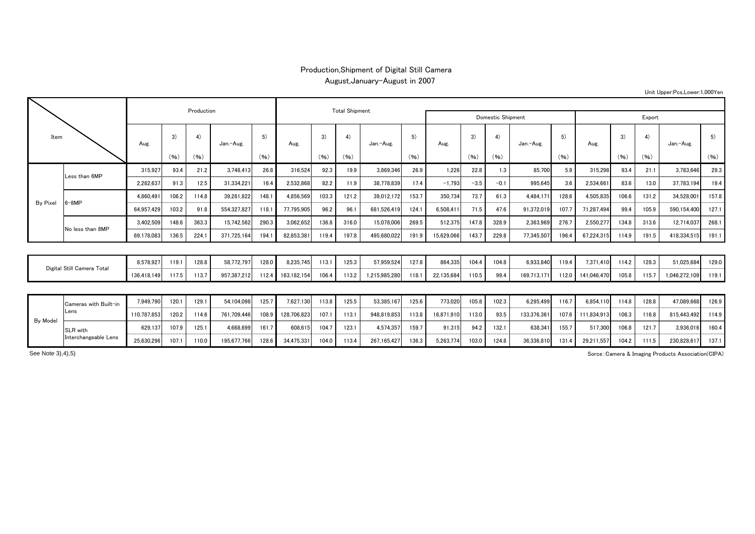## Production,Shipment of Digital Still Camera August,January-August in 2007

| Item                       |                       |             |            |       |                       |       |             |       |       |               |                   |            |        |        |             |       |             |       |       |               |       |
|----------------------------|-----------------------|-------------|------------|-------|-----------------------|-------|-------------|-------|-------|---------------|-------------------|------------|--------|--------|-------------|-------|-------------|-------|-------|---------------|-------|
|                            |                       |             | Production |       | <b>Total Shipment</b> |       |             |       |       |               | Domestic Shipment |            | Export |        |             |       |             |       |       |               |       |
|                            |                       | Aug.        | 3)         | 4)    | Jan.-Aug.             | 5)    | Aug.        | 3)    | 4)    | Jan.-Aug.     | 5)<br>(96)        | Aug.       | 3)     | 4)     | Jan.-Aug.   | 5)    | Aug.        | 3)    | 4)    | Jan.-Aug.     | 5)    |
|                            |                       |             | (96)       | (96)  |                       | (96)  |             | (96)  | (96)  |               |                   |            | (96)   | (96)   |             | (96)  |             | (96)  | (96)  |               | (96)  |
| By Pixel                   | Less than 6MP         | 315,927     | 93.4       | 21.2  | 3,748,413             | 26.8  | 316,524     | 92.3  | 19.9  | 3,869,346     | 26.9              | 1,226      | 22.8   | 1.3    | 85,700      | 5.9   | 315,298     | 93.4  | 21.1  | 3,783,646     | 29.3  |
|                            |                       | 2,282,637   | 91.3       | 12.5  | 31,334,221            | 16.4  | 2,532,868   | 82.2  | 11.9  | 38,778,839    | 17.4              | $-1.793$   | $-3.5$ | $-0.1$ | 995,645     | 3.6   | 2,534,661   | 83.6  | 13.0  | 37,783,194    | 19.4  |
|                            |                       | 4.860.491   | 106.2      | 114.8 | 39.281.822            | 148.1 | 4.856.569   | 103.3 | 121.2 | 39,012,172    | 153.7             | 350.734    | 73.7   | 61.3   | 4.484.171   | 128.6 | 4.505.835   | 106.6 | 131.2 | 34.528.001    | 157.8 |
|                            | $6 - 8MP$             | 64,957,429  | 103.2      | 91.8  | 554,327,827           | 118.1 | 77,795,905  | 96.2  | 96.1  | 681,526,419   | 124.1             | 6,508,411  | 71.5   | 47.6   | 91,372,019  | 107.7 | 71,287,494  | 99.4  | 105.9 | 590,154,400   | 127.1 |
|                            | No less than 8MP      | 3,402,509   | 148.6      | 363.3 | 15,742,562            | 290.3 | 3,062,652   | 136.8 | 316.0 | 15,078,006    | 269.5             | 512,375    | 147.8  | 328.9  | 2,363,969   | 276.7 | 2,550,277   | 134.8 | 313.6 | 12,714,037    | 268.1 |
|                            |                       | 69,178,083  | 136.5      | 224.1 | 371,725,164           | 194.1 | 82,853,381  | 119.4 | 197.8 | 495,680,022   | 191.9             | 15,629,066 | 143.7  | 229.8  | 77,345,507  | 196.4 | 67,224,315  | 114.9 | 191.5 | 418,334,515   | 191.1 |
|                            |                       |             |            |       |                       |       |             |       |       |               |                   |            |        |        |             |       |             |       |       |               |       |
| Digital Still Camera Total |                       | 8,578,927   | 119.1      | 128.8 | 58,772,797            | 128.0 | 8,235,745   | 113.1 | 125.3 | 57,959,524    | 127.8             | 864,335    | 104.4  | 104.8  | 6,933,840   | 119.4 | 7,371,410   | 114.2 | 128.3 | 51,025,684    | 129.0 |
|                            |                       | 136,418,149 | 117.5      | 113.7 | 957,387,212           | 112.4 | 163,182,154 | 106.4 | 113.2 | 1,215,985,280 | 118.1             | 22,135,684 | 110.5  | 99.4   | 169,713,17  | 112.0 | 141,046,470 | 105.8 | 115.7 | 1,046,272,109 | 119.1 |
|                            |                       |             |            |       |                       |       |             |       |       |               |                   |            |        |        |             |       |             |       |       |               |       |
|                            | Cameras with Built-in | 7,949,790   | 120.1      | 129.1 | 54,104,098            | 125.7 | 7,627,130   | 113.8 | 125.5 | 53,385,167    | 125.6             | 773,020    | 105.8  | 102.3  | 6,295,499   | 116.7 | 6,854,110   | 114.8 | 128.8 | 47,089,668    | 126.9 |
| By Model                   | Lens                  | 110,787,853 | 120.2      | 114.6 | 761,709,446           | 108.9 | 128,706,823 | 107.1 | 113.1 | 948,819,853   | 113.8             | 16,871,910 | 113.0  | 93.5   | 133,376,361 | 107.6 | 111,834,913 | 106.3 | 116.8 | 815,443,492   | 114.9 |
|                            | SLR with              | 629,137     | 107.9      | 125.1 | 4,668,699             | 161.7 | 608,615     | 104.7 | 123.1 | 4,574,357     | 159.7             | 91,315     | 94.2   | 132.1  | 638,341     | 155.7 | 517,300     | 106.8 | 121.7 | 3,936,016     | 160.4 |
|                            | Interchangeable Lens  | 25.630.296  | 107.1      | 110.0 | 195.677.766           | 128.6 | 34.475.331  | 104.0 | 113.4 | 267.165.427   | 136.3             | 5.263.774  | 103.0  | 124.8  | 36.336.810  | 131.4 | 29.211.557  | 104.2 | 111.5 | 230.828.617   | 137.1 |

Unit Upper:Pcs,Lower:1,000Yen

Sorce:Camera & Imaging Products Association(CIPA)

See Note 3),4),5)